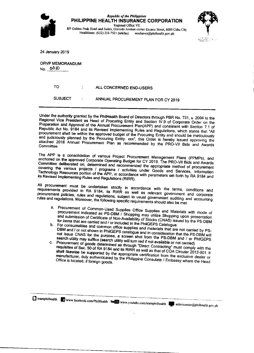



24 January 2019

**ORVP MEMORANDUM** No. 0010

| TO.            | ALL CONCERNED END-USERS             |
|----------------|-------------------------------------|
| <b>SUBJECT</b> | ANNUAL PROCUREMENT PLAN FOR CY 2019 |

Under the authority granted by the PhilHealth Board of Directors through PBR No. 731, s. 2004 to the Regional Vice President as Head of Procuring Entity and Section IV.9 of Corporate Order on the Preparation and Approval of the Annual Procurement Plan(APP) and consistent with Section 7.1 of Republic Act No. 9184 and its Revised Implementing Rules and Regulations, which states that "All procurement shall be within the approved budget of the Procuring Entity and should be meticulously and judiciously planned by the Procuring Entity. xxx", this Order is hereby issued approving the attached 2018 Annual Procurement Plan as recommended by the PRO-VII Bids and Awards Committee.

The APP is a consolidation of various Project Procurement Management Plans (PPMPs), and anchored on the approved Corporate Operating Budget for CY 2019. The PRO-VII Bids and Awards Committee deliberated on, determined and recommended the appropriate method of procurement covering the various projects / programs / activities under Goods and Services, Information Technology Resources portion of the APP, in accordance with parameters set forth by RA 9184 and its Revised Implementing Rules and Regulations (RIRR).

All procurement must be undertaken strictly in accordance with the terms, conditions and requirements provided in RA 9184, its RIRR as well as relevant government and corporate procurement policies, rules and regulations, subject to usual government auditing and accounting rules and regulations. Moreover, the following specific requirements should also be met:

- a. Procurement of Common-Used Supplies Office Supplies and Materials with mode of procurement indicated as PS-DBM / Shopping may utilize Shopping upon presentation and submission of Certificate of Non-Availability of Stocks (CNAS) issued by the PS-DBM for items that are carried and / or included in the PhilGEPS Catalogue.
- b. For consumables and common office supplies and materials that are not carried by PS-DBM and / or not shown in PhilGEPS catalogue and in consideration that the PS-DBM will not issue CNAS for the purpose, a screen shot from the PS-DBM and / or PhilGEPS search utility may suffice (search utility will turn red if not available or not carried)
- Procurement of goods determined as through "Direct Contracting" must comply with the C. requisites of Sec. 50 of RA 9184 and its RIRR as well as that of COA Circular 2012-001. It shall likewise be supported by the appropriate certification from the exclusive dealer or manufacturer, duly authenticated by the Philippine Consulate / Embassy where the Head

teamphilhealth www.facebook.com/PhilHealth Youther www.youtube.com/teamphilhealth coincenter@philhealth.gov.ph

 $\overline{a}$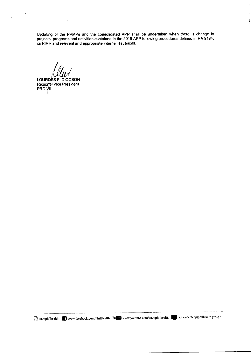Updating of the PPMPs and the consolidated APP shall be undertaken when there is change in projects, programs and activities contained in the 2019 APP following procedures defined in RA 9184, its RIRR and relevant and appropriate internal issuances.

 $\bar{1}$ 

÷,

 $\frac{1}{3}$ 

 $\bar{\tau}$ 

LOURDES F. DIOCSON Regional Vice President<br>PRO VII

 $\overline{1}$ 

 $\cdot$ 

 $\hat{\mathbf{v}}$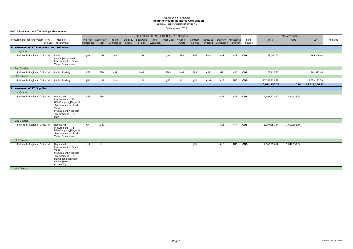Calendar Year 2019

**BAC Information and Technology Resoources**

ANNUAL PROCUREMENT PLAN

# **Philippine Health Insurance Corporation** *Republic of the Philippines*

|                                                             |                                                                                                                                                        |            |                             |                             |             |            | SCHEDULE FOR EACH PROCUREMENT ACTIVITY |                     |            |                     |            |                                                    |            |                |               | <b>Estimated Budget</b> |               |         |
|-------------------------------------------------------------|--------------------------------------------------------------------------------------------------------------------------------------------------------|------------|-----------------------------|-----------------------------|-------------|------------|----------------------------------------|---------------------|------------|---------------------|------------|----------------------------------------------------|------------|----------------|---------------|-------------------------|---------------|---------|
| Procurement Program/Project PMO /                           | Mode of<br>End-User Procurement                                                                                                                        | Conference | Pre-Proc Ads/Post of<br>ITB | Pre-Bid<br>Conference Check | Eligibility | Sub/Open   | Bid<br>of Bids Evaluation              | Post Qual Notice of | Award      | Contract<br>Signing | Notice to  | Delivery Acceptance<br>Proceed Completion Turnover |            | Fund<br>Source | Total         | <b>MOOE</b>             | CO            | Remarks |
| Procurement of IT Equipment and Software<br>1st Quarter     |                                                                                                                                                        |            |                             |                             |             |            |                                        |                     |            |                     |            |                                                    |            |                |               |                         |               |         |
| Philhealth Regional Office VII Public                       | Bidding   Negotiated<br>Procurement - Small<br>Value Procurement                                                                                       | JAN        | JAN                         | JAN                         |             | JAN        |                                        | JAN                 | FEB        | FEB                 | <b>MAR</b> | <b>MAR</b>                                         | <b>MAR</b> | COB            | 169,100.00    |                         | 169,100.00    |         |
| 2nd Quarter                                                 |                                                                                                                                                        |            |                             |                             |             |            |                                        |                     |            |                     |            |                                                    |            |                |               |                         |               |         |
| Philhealth Regional Office VII Public Bidding               |                                                                                                                                                        | FEB        | FEB                         | <b>MAR</b>                  |             | <b>MAR</b> |                                        | <b>MAR</b>          | <b>MAR</b> | APR                 | APR        | APR                                                | MAY        | COB            | 102,925.83    |                         | 102,925.83    |         |
| 3rd Quarter                                                 |                                                                                                                                                        |            |                             |                             |             |            |                                        |                     |            |                     |            |                                                    |            |                |               |                         |               |         |
| Philhealth Regional Office VII Public Bidding               |                                                                                                                                                        | JUN        | JUN                         | JUN                         |             | JUN        |                                        | JUN                 | JUL        | JUL                 | AUG        | AUG                                                | AUG        | COB            | 15,539,130.39 |                         | 15,539,130.39 |         |
|                                                             |                                                                                                                                                        |            |                             |                             |             |            |                                        |                     |            |                     |            |                                                    |            |                | 15,811,156.22 | 0.00                    | 15,811,156.22 |         |
| Procurement of IT Supplies                                  |                                                                                                                                                        |            |                             |                             |             |            |                                        |                     |            |                     |            |                                                    |            |                |               |                         |               |         |
| 1st Quarter                                                 |                                                                                                                                                        |            |                             |                             |             |            |                                        |                     |            |                     |            |                                                    |            |                |               |                         |               |         |
| Philhealth Regional Office VII Negotiated                   | Procurement - PS-<br>DBM/Shopping Negotiat<br>Procurement - Small<br>Value<br>Procurement   Negotiate<br>Procurement - PS-<br><b>DBM</b>               | FEB        | FEB                         |                             |             |            |                                        |                     |            |                     |            | <b>MAR</b>                                         | MAR        | COB            | 1,494,528.60  | 1,494,528.60            |               |         |
| 2nd Quarter                                                 |                                                                                                                                                        |            |                             |                             |             |            |                                        |                     |            |                     |            |                                                    |            |                |               |                         |               |         |
| Philhealth Regional Office VII Negotiated                   | Procurement - PS-<br>DBM/Shopping Negotiat<br>Procurement - Small<br>Value Procurement                                                                 | APR        | APR                         |                             |             |            |                                        |                     |            |                     |            | MAY                                                | MAY        | COB            | 1,097,851.44  | 1,097,851.44            |               |         |
| 3rd Quarter                                                 |                                                                                                                                                        |            |                             |                             |             |            |                                        |                     |            |                     |            |                                                    |            |                |               |                         |               |         |
| Philhealth Regional Office VII<br>$\sim$ 441. $\sim$ $\sim$ | Negotiated<br>Procurement - Small<br>Value<br>Procurement   Negotiate<br>Procurement - PS-<br>DBM/Shopping   Public<br>Bidding   Direct<br>Contracting | JUL        | JUL                         |                             |             |            |                                        |                     |            | JUL                 |            | AUG                                                | AUG        | COB            | 2,847,593.64  | 2,847,593.64            |               |         |

4th Quarter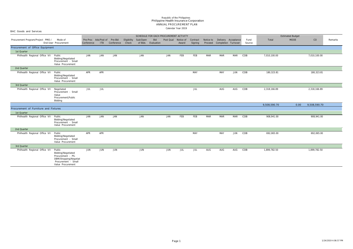|                                       |                                                                                                                          |            |                             |                       |                      |          | SCHEDULE FOR EACH PROCUREMENT ACTIVITY |                     |       |                     |                      |                                            |            |                |              | <b>Estimated Budget</b> |              |         |
|---------------------------------------|--------------------------------------------------------------------------------------------------------------------------|------------|-----------------------------|-----------------------|----------------------|----------|----------------------------------------|---------------------|-------|---------------------|----------------------|--------------------------------------------|------------|----------------|--------------|-------------------------|--------------|---------|
| Procurement Program/Project PMO /     | Mode of<br>End-User Procurement                                                                                          | Conference | Pre-Proc Ads/Post of<br>ITB | Pre-Bid<br>Conference | Eligibility<br>Check | Sub/Open | Bid<br>of Bids Evaluation              | Post Qual Notice of | Award | Contract<br>Signing | Notice to<br>Proceed | Delivery Acceptance<br>Completion Turnover |            | Fund<br>Source | Total        | <b>MOOE</b>             | CO           | Remarks |
| Procurement of Office Equipment       |                                                                                                                          |            |                             |                       |                      |          |                                        |                     |       |                     |                      |                                            |            |                |              |                         |              |         |
| 1st Quarter                           |                                                                                                                          |            |                             |                       |                      |          |                                        |                     |       |                     |                      |                                            |            |                |              |                         |              |         |
| Philhealth Regional Office VII Public | Bidding   Negotiated<br>Procurement - Small<br>Value Procurement                                                         | JAN        | JAN                         | JAN                   |                      | JAN      |                                        | JAN                 | FEB   | FEB                 | MAR                  | MAR                                        | MAR        | COB            | 7,010,100.00 |                         | 7,010,100.00 |         |
| 2nd Quarter                           |                                                                                                                          |            |                             |                       |                      |          |                                        |                     |       |                     |                      |                                            |            |                |              |                         |              |         |
| Philhealth Regional Office VII Public | Bidding   Negotiated<br>Procurement - Small<br>Value Procurement                                                         | APR        | APR                         |                       |                      |          |                                        |                     |       | MAY                 |                      | MAY                                        | JUN        | COB            | 180,323.81   |                         | 180,323.81   |         |
| 3rd Quarter                           |                                                                                                                          |            |                             |                       |                      |          |                                        |                     |       |                     |                      |                                            |            |                |              |                         |              |         |
| Philhealth Regional Office VII        | Negotiated<br>Procurement - Small<br>Value<br>Procurement   Public<br>Bidding                                            | JUL        | JUL                         |                       |                      |          |                                        |                     |       | JUL                 |                      | AUG                                        | AUG        | COB            | 2,318,166.89 |                         | 2,318,166.89 |         |
|                                       |                                                                                                                          |            |                             |                       |                      |          |                                        |                     |       |                     |                      |                                            |            |                | 9,508,590.70 | 0.00                    | 9,508,590.70 |         |
| Procurement of Furniture and Fixtures |                                                                                                                          |            |                             |                       |                      |          |                                        |                     |       |                     |                      |                                            |            |                |              |                         |              |         |
| 1st Quarter                           |                                                                                                                          |            |                             |                       |                      |          |                                        |                     |       |                     |                      |                                            |            |                |              |                         |              |         |
| Philhealth Regional Office VII Public | Bidding   Negotiated<br>Procurement - Small<br>Value Procurement                                                         | JAN        | JAN                         | JAN                   |                      | JAN      |                                        | JAN                 | FEB   | FEB                 | MAR                  | MAR                                        | <b>MAR</b> | COB            | 908,941.00   |                         | 908,941.00   |         |
| 2nd Quarter                           |                                                                                                                          |            |                             |                       |                      |          |                                        |                     |       |                     |                      |                                            |            |                |              |                         |              |         |
| Philhealth Regional Office VII Public | Bidding   Negotiated<br>Procurement - Small<br>Value Procurement                                                         | APR        | APR                         |                       |                      |          |                                        |                     |       | MAY                 |                      | MAY                                        | JUN        | COB            | 692,065.00   |                         | 692,065.00   |         |
| 3rd Quarter                           |                                                                                                                          |            |                             |                       |                      |          |                                        |                     |       |                     |                      |                                            |            |                |              |                         |              |         |
| Philhealth Regional Office VII        | Public<br>Bidding   Negotiated<br>Procurement - PS-<br>DBM/Shopping Negotiat<br>Procurement - Small<br>Value Procurement | JUN        | JUN                         | JUN                   |                      | JUN      |                                        | JUN                 | JUL   | JUL                 | AUG                  | AUG                                        | AUG        | COB            | 1,899,782.50 |                         | 1,899,782.50 |         |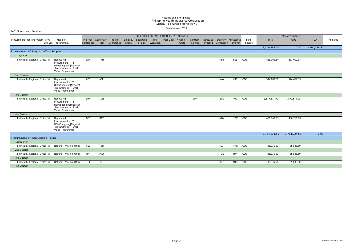|                                                         |                                                                                                      |                                            |            |            |                      |          |                           | SCHEDULE FOR EACH PROCUREMENT ACTIVITY |       |                     |                      |                                            |            |                |              | <b>Estimated Budget</b> |              |         |
|---------------------------------------------------------|------------------------------------------------------------------------------------------------------|--------------------------------------------|------------|------------|----------------------|----------|---------------------------|----------------------------------------|-------|---------------------|----------------------|--------------------------------------------|------------|----------------|--------------|-------------------------|--------------|---------|
| Procurement Program/Project PMO /                       | Mode of<br>End-User Procurement                                                                      | Pre-Proc Ads/Post of Pre-Bid<br>Conference | <b>ITB</b> | Conference | Eligibility<br>Check | Sub/Open | Bid<br>of Bids Evaluation | Post Qual Notice of                    | Award | Contract<br>Signing | Notice to<br>Proceed | Delivery Acceptance<br>Completion Turnover |            | Fund<br>Source | Total        | <b>MOOE</b>             | CO           | Remarks |
|                                                         |                                                                                                      |                                            |            |            |                      |          |                           |                                        |       |                     |                      |                                            |            |                | 3,500,788.50 | 0.00                    | 3,500,788.50 |         |
| Procurement of Regular Office Supplies                  |                                                                                                      |                                            |            |            |                      |          |                           |                                        |       |                     |                      |                                            |            |                |              |                         |              |         |
| 1st Quarter                                             |                                                                                                      |                                            |            |            |                      |          |                           |                                        |       |                     |                      |                                            |            |                |              |                         |              |         |
| Philhealth Regional Office VII                          | Negotiated<br>Procurement - PS-<br>DBM/Shopping Negotiat<br>Procurement - Small<br>Value Procurement | JAN                                        | JAN        |            |                      |          |                           |                                        |       |                     |                      | FEB                                        | FEB        | COB            | 831,002.34   | 831,002.34              |              |         |
| 2nd Quarter                                             |                                                                                                      |                                            |            |            |                      |          |                           |                                        |       |                     |                      |                                            |            |                |              |                         |              |         |
| Philhealth Regional Office VII                          | Negotiated<br>Procurement - PS-<br>DBM/Shopping Negotiat<br>Procurement - Small<br>Value Procurement | APR                                        | APR        |            |                      |          |                           |                                        |       |                     |                      | MAY                                        | MAY        | COB            | 574,687.39   | 574,687.39              |              |         |
| 3rd Quarter                                             |                                                                                                      |                                            |            |            |                      |          |                           |                                        |       |                     |                      |                                            |            |                |              |                         |              |         |
| Philhealth Regional Office VII                          | Negotiated<br>Procurement - PS-<br>DBM/Shopping Negotiat<br>Procurement - Small<br>Value Procurement | JUN                                        | JUN        |            |                      |          |                           |                                        |       | JUN                 |                      | JUL                                        | AUG        | COB            | 1,877,574.90 | 1,877,574.90            |              |         |
| 4th Quarter                                             |                                                                                                      |                                            |            |            |                      |          |                           |                                        |       |                     |                      |                                            |            |                |              |                         |              |         |
| Philhealth Regional Office VII                          | Negotiated<br>Procurement - PS-<br>DBM/Shopping Negotiat<br>Procurement - Small<br>Value Procurement | OCT                                        | OCT        |            |                      |          |                           |                                        |       |                     |                      | <b>NOV</b>                                 | <b>NOV</b> | COB            | 480,769.93   | 480,769.93              |              |         |
|                                                         |                                                                                                      |                                            |            |            |                      |          |                           |                                        |       |                     |                      |                                            |            |                | 3,764,034.56 | 3,764,034.56            | 0.00         |         |
| Procurement of Accountable Forms                        |                                                                                                      |                                            |            |            |                      |          |                           |                                        |       |                     |                      |                                            |            |                |              |                         |              |         |
| 1st Quarter                                             |                                                                                                      |                                            |            |            |                      |          |                           |                                        |       |                     |                      |                                            |            |                |              |                         |              |         |
| Philhealth Regional Office VII National Printing Office |                                                                                                      | FEB                                        | FEB        |            |                      |          |                           |                                        |       |                     |                      | <b>MAR</b>                                 | MAR        | COB            | 35,835.50    | 35,835.50               |              |         |
| 2nd Quarter                                             |                                                                                                      |                                            |            |            |                      |          |                           |                                        |       |                     |                      |                                            |            |                |              |                         |              |         |
| Philhealth Regional Office VII National Printing Office |                                                                                                      | MAY                                        | MAY        |            |                      |          |                           |                                        |       |                     |                      | JUN                                        | JUN        | COB            | 35,835.50    | 35,835.50               |              |         |
| 3rd Quarter                                             |                                                                                                      |                                            |            |            |                      |          |                           |                                        |       |                     |                      |                                            |            |                |              |                         |              |         |
| Philhealth Regional Office VII                          | National Printing Office                                                                             | JUL                                        | JUL        |            |                      |          |                           |                                        |       |                     |                      | AUG                                        | AUG        | COB            | 35,835.50    | 35,835.50               |              |         |
| 4th Quarter                                             |                                                                                                      |                                            |            |            |                      |          |                           |                                        |       |                     |                      |                                            |            |                |              |                         |              |         |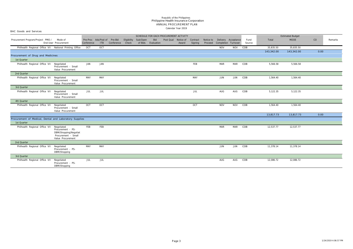| BAC Goods and Services                                                |                                                                                        |            |                                    |                             |             |          |                           |                                        |       |                     |                      |                                            |            |                |            |                         |      |         |
|-----------------------------------------------------------------------|----------------------------------------------------------------------------------------|------------|------------------------------------|-----------------------------|-------------|----------|---------------------------|----------------------------------------|-------|---------------------|----------------------|--------------------------------------------|------------|----------------|------------|-------------------------|------|---------|
|                                                                       |                                                                                        |            |                                    |                             |             |          |                           | SCHEDULE FOR EACH PROCUREMENT ACTIVITY |       |                     |                      |                                            |            |                |            | <b>Estimated Budget</b> |      |         |
| Procurement Program/Project PMO / Mode of                             | End-User Procurement                                                                   | Conference | Pre-Proc Ads/Post of<br><b>ITB</b> | Pre-Bid<br>Conference Check | Eligibility | Sub/Open | Bid<br>of Bids Evaluation | Post Qual Notice of                    | Award | Contract<br>Signing | Notice to<br>Proceed | Delivery Acceptance<br>Completion Turnover |            | Fund<br>Source | Total      | <b>MOOE</b>             | CO   | Remarks |
| Philhealth Regional Office VII National Printing Office               |                                                                                        | OCT        | OCT                                |                             |             |          |                           |                                        |       |                     |                      | <b>NOV</b>                                 | <b>NOV</b> | COB            | 35,835.50  | 35,835.50               |      |         |
|                                                                       |                                                                                        |            |                                    |                             |             |          |                           |                                        |       |                     |                      |                                            |            |                | 143,342.00 | 143,342.00              | 0.00 |         |
| Procurement of Drug and Medicines                                     |                                                                                        |            |                                    |                             |             |          |                           |                                        |       |                     |                      |                                            |            |                |            |                         |      |         |
| 1st Quarter                                                           |                                                                                        |            |                                    |                             |             |          |                           |                                        |       |                     |                      |                                            |            |                |            |                         |      |         |
| Philhealth Regional Office VII Negotiated                             | Procurement - Small<br>Value Procurement                                               | JAN        | JAN                                |                             |             |          |                           |                                        |       | FEB                 |                      | MAR                                        | MAR        | COB            | 5,566.58   | 5,566.58                |      |         |
| 2nd Quarter                                                           |                                                                                        |            |                                    |                             |             |          |                           |                                        |       |                     |                      |                                            |            |                |            |                         |      |         |
| Philhealth Regional Office VII Negotiated                             | Procurement - Small<br>Value Procurement                                               | MAY        | MAY                                |                             |             |          |                           |                                        |       | MAY                 |                      | JUN                                        | JUN        | COB            | 1,564.40   | 1,564.40                |      |         |
| 3rd Quarter                                                           |                                                                                        |            |                                    |                             |             |          |                           |                                        |       |                     |                      |                                            |            |                |            |                         |      |         |
| Philhealth Regional Office VII Negotiated                             | Procurement - Small<br>Value Procurement                                               | JUL        | JUL                                |                             |             |          |                           |                                        |       | JUL                 |                      | AUG                                        | AUG        | COB            | 5,122.35   | 5,122.35                |      |         |
| 4th Quarter                                                           |                                                                                        |            |                                    |                             |             |          |                           |                                        |       |                     |                      |                                            |            |                |            |                         |      |         |
| Philhealth Regional Office VII Negotiated                             | Procurement - Small<br>Value Procurement                                               | OCT        | OCT                                |                             |             |          |                           |                                        |       | OCT                 |                      | <b>NOV</b>                                 | <b>NOV</b> | COB            | 1,564.40   | 1,564.40                |      |         |
|                                                                       |                                                                                        |            |                                    |                             |             |          |                           |                                        |       |                     |                      |                                            |            |                | 13,817.73  | 13,817.73               | 0.00 |         |
| Procurement of Medical, Dental and Laboratory Supplies<br>1st Quarter |                                                                                        |            |                                    |                             |             |          |                           |                                        |       |                     |                      |                                            |            |                |            |                         |      |         |
| Philhealth Regional Office VII Negotiated                             | Procurement - PS-<br>DBM/Shopping Negotiat<br>Procurement - Small<br>Value Procurement | FEB        | FEB                                |                             |             |          |                           |                                        |       |                     |                      | MAR                                        | MAR        | COB            | 12,537.77  | 12,537.77               |      |         |
| 2nd Quarter                                                           |                                                                                        |            |                                    |                             |             |          |                           |                                        |       |                     |                      |                                            |            |                |            |                         |      |         |
| Philhealth Regional Office VII Negotiated                             | Procurement - PS-<br>DBM/Shopping                                                      | MAY        | MAY                                |                             |             |          |                           |                                        |       |                     |                      | JUN                                        | JUN        | COB            | 11,378.14  | 11,378.14               |      |         |
| 3rd Quarter                                                           |                                                                                        |            |                                    |                             |             |          |                           |                                        |       |                     |                      |                                            |            |                |            |                         |      |         |
| Philhealth Regional Office VII Negotiated                             | Procurement - PS-<br>DBM/Shopping                                                      | <b>JUL</b> | JUL                                |                             |             |          |                           |                                        |       |                     |                      | AUG                                        | AUG        | COB            | 12,086.72  | 12,086.72               |      |         |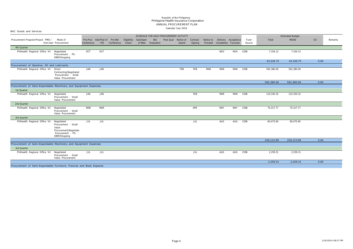BAC Goods and Services

|                                                                     |                                                                                                            |            |            |                                            |                      |                     |                   | SCHEDULE FOR EACH PROCUREMENT ACTIVITY |       |                     |         |            |                                                      |                |            | <b>Estimated Budget</b> |      |         |
|---------------------------------------------------------------------|------------------------------------------------------------------------------------------------------------|------------|------------|--------------------------------------------|----------------------|---------------------|-------------------|----------------------------------------|-------|---------------------|---------|------------|------------------------------------------------------|----------------|------------|-------------------------|------|---------|
| Procurement Program/Project PMO /                                   | Mode of<br>End-User Procurement                                                                            | Conference | <b>ITB</b> | Pre-Proc Ads/Post of Pre-Bid<br>Conference | Eligibility<br>Check | Sub/Open<br>of Bids | Bid<br>Evaluation | Post Qual Notice of                    | Award | Contract<br>Signing | Proceed |            | Notice to Delivery Acceptance<br>Completion Turnover | Fund<br>Source | Total      | <b>MOOE</b>             | CO   | Remarks |
| 4th Quarter                                                         |                                                                                                            |            |            |                                            |                      |                     |                   |                                        |       |                     |         |            |                                                      |                |            |                         |      |         |
| Philhealth Regional Office VII                                      | Negotiated<br>Procurement - PS-<br>DBM/Shopping                                                            | OCT        | OCT        |                                            |                      |                     |                   |                                        |       |                     |         | <b>NOV</b> | <b>NOV</b>                                           | COB            | 7,334.12   | 7,334.12                |      |         |
|                                                                     |                                                                                                            |            |            |                                            |                      |                     |                   |                                        |       |                     |         |            |                                                      |                | 43,336.75  | 43,336.75               | 0.00 |         |
| Procurement of Gasoline, Oil and Lubricants                         |                                                                                                            |            |            |                                            |                      |                     |                   |                                        |       |                     |         |            |                                                      |                |            |                         |      |         |
| Philhealth Regional Office VII                                      | Direct<br>Contracting Negotiated<br>Procurement - Small<br>Value Procurement                               | JAN        | JAN        |                                            |                      |                     |                   |                                        | FEB   | FEB                 | MAR     | MAR        | MAR COB                                              |                | 592,380.00 | 592,380.00              |      |         |
|                                                                     |                                                                                                            |            |            |                                            |                      |                     |                   |                                        |       |                     |         |            |                                                      |                | 592,380.00 | 592,380.00              | 0.00 |         |
| Procurement of Semi-Expendable Machinery and Equipment Expenses     |                                                                                                            |            |            |                                            |                      |                     |                   |                                        |       |                     |         |            |                                                      |                |            |                         |      |         |
| 1st Quarter                                                         |                                                                                                            |            |            |                                            |                      |                     |                   |                                        |       |                     |         |            |                                                      |                |            |                         |      |         |
| Philhealth Regional Office VII                                      | Negotiated<br>Procurement - Small<br>Value Procurement                                                     | JAN        | JAN        |                                            |                      |                     |                   |                                        |       | FEB                 |         | MAR        | MAR                                                  | COB            | 123,330.32 | 123,330.32              |      |         |
| 2nd Quarter                                                         |                                                                                                            |            |            |                                            |                      |                     |                   |                                        |       |                     |         |            |                                                      |                |            |                         |      |         |
| Philhealth Regional Office VII                                      | Negotiated<br>Procurement - Small<br>Value Procurement                                                     | <b>MAR</b> | <b>MAR</b> |                                            |                      |                     |                   |                                        |       | APR                 |         | MAY        | MAY                                                  | COB            | 75,317.77  | 75,317.77               |      |         |
| 3rd Quarter                                                         |                                                                                                            |            |            |                                            |                      |                     |                   |                                        |       |                     |         |            |                                                      |                |            |                         |      |         |
| Philhealth Regional Office VII                                      | Negotiated<br>Procurement - Small<br>Value<br>Procurement   Negotiate<br>Procurement - PS-<br>DBM/Shopping | JUL        | JUL        |                                            |                      |                     |                   |                                        |       | JUL                 |         | AUG        | AUG                                                  | COB            | 60,475.90  | 60,475.90               |      |         |
|                                                                     |                                                                                                            |            |            |                                            |                      |                     |                   |                                        |       |                     |         |            |                                                      |                | 259,123.99 | 259,123.99              | 0.00 |         |
| Procurement of Semi-Expendable Machinery and Equipment Expenses     |                                                                                                            |            |            |                                            |                      |                     |                   |                                        |       |                     |         |            |                                                      |                |            |                         |      |         |
| 3rd Quarter                                                         |                                                                                                            |            |            |                                            |                      |                     |                   |                                        |       |                     |         |            |                                                      |                |            |                         |      |         |
| Philhealth Regional Office VII                                      | Negotiated<br>Procurement - Small<br>Value Procurement                                                     | JUL        | <b>JUL</b> |                                            |                      |                     |                   |                                        |       | JUL                 |         | AUG        | AUG                                                  | COB            | 2,259.31   | 2,259.31                |      |         |
|                                                                     |                                                                                                            |            |            |                                            |                      |                     |                   |                                        |       |                     |         |            |                                                      |                | 2,259.31   | 2,259.31                | 0.00 |         |
| Procurement of Semi-Expendable Furniture, Fixtures and Book Expense |                                                                                                            |            |            |                                            |                      |                     |                   |                                        |       |                     |         |            |                                                      |                |            |                         |      |         |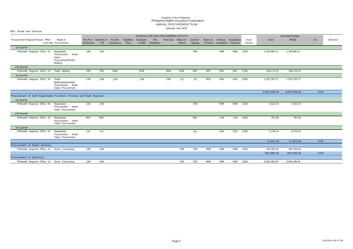| onlo ooddo and och need                                             |                                                                               |            |                              |            |       |                      |                    |                                        |            |          |     |                               |            |        |              |                         |      |         |
|---------------------------------------------------------------------|-------------------------------------------------------------------------------|------------|------------------------------|------------|-------|----------------------|--------------------|----------------------------------------|------------|----------|-----|-------------------------------|------------|--------|--------------|-------------------------|------|---------|
|                                                                     |                                                                               |            |                              |            |       |                      |                    | SCHEDULE FOR EACH PROCUREMENT ACTIVITY |            |          |     |                               |            |        |              | <b>Estimated Budget</b> |      |         |
| Procurement Program/Project PMO /                                   | Mode of                                                                       |            | Pre-Proc Ads/Post of Pre-Bid |            |       | Eligibility Sub/Open | Bid                | Post Qual                              | Notice of  | Contract |     | Notice to Delivery Acceptance |            | Fund   | Total        | <b>MOOE</b>             | CO   | Remarks |
|                                                                     | End-User Procurement                                                          | Conference | <b>ITB</b>                   | Conference | Check |                      | of Bids Evaluation |                                        | Award      | Signing  |     | Proceed Completion Turnover   |            | Source |              |                         |      |         |
| 1st Quarter                                                         |                                                                               |            |                              |            |       |                      |                    |                                        |            |          |     |                               |            |        |              |                         |      |         |
| Philhealth Regional Office VII                                      | Negotiated<br>Procurement - Small<br>Value<br>Procurement   Public<br>Bidding | JAN        | JAN                          |            |       |                      |                    |                                        |            | FEB      |     | <b>MAR</b>                    | <b>MAR</b> | COB    | 1,344,985.21 | 1,344,985.21            |      |         |
| 2nd Quarter                                                         |                                                                               |            |                              |            |       |                      |                    |                                        |            |          |     |                               |            |        |              |                         |      |         |
| Philhealth Regional Office VII Public Bidding                       |                                                                               | FEB        | FEB                          | <b>MAR</b> |       | <b>MAR</b>           |                    | <b>MAR</b>                             | <b>MAR</b> | APR      | APR | APR                           | MAY        | COB    | 184,279.16   | 184,279.16              |      |         |
| 3rd Quarter                                                         |                                                                               |            |                              |            |       |                      |                    |                                        |            |          |     |                               |            |        |              |                         |      |         |
| Philhealth Regional Office VII                                      | Public<br>Bidding   Negotiated<br>Procurement - Small<br>Value Procurement    | JUN        | <b>JUN</b>                   | <b>JUN</b> |       | JUN                  |                    | JUN                                    | JUL        | JUL      | AUG | AUG                           | AUG        | COB    | 1,525,793.72 | 1,525,793.72            |      |         |
|                                                                     |                                                                               |            |                              |            |       |                      |                    |                                        |            |          |     |                               |            |        | 3,055,058.09 | 3,055,058.09            | 0.00 |         |
| Procurement of Semi-Expendable Furniture, Fixtures and Book Expense |                                                                               |            |                              |            |       |                      |                    |                                        |            |          |     |                               |            |        |              |                         |      |         |
| 1st Quarter                                                         |                                                                               |            |                              |            |       |                      |                    |                                        |            |          |     |                               |            |        |              |                         |      |         |
| Philhealth Regional Office VII                                      | Negotiated<br>Procurement - Small<br>Value Procurement                        | JAN        | <b>JAN</b>                   |            |       |                      |                    |                                        |            | FEB      |     | <b>MAR</b>                    | <b>MAR</b> | COB    | 4,520.33     | 4,520.33                |      |         |
| 2nd Quarter                                                         |                                                                               |            |                              |            |       |                      |                    |                                        |            |          |     |                               |            |        |              |                         |      |         |
| Philhealth Regional Office VII                                      | Negotiated<br>Procurement - Small<br>Value Procurement                        | MAY        | MAY                          |            |       |                      |                    |                                        |            | MAY      |     | JUN                           | JUN        | COB    | 791.96       | 791.96                  |      |         |
| 3rd Quarter                                                         |                                                                               |            |                              |            |       |                      |                    |                                        |            |          |     |                               |            |        |              |                         |      |         |
| Philhealth Regional Office VII Negotiated                           | Procurement - Small<br>Value Procurement                                      | JUL        | JUL                          |            |       |                      |                    |                                        |            | JUL      |     | AUG                           | AUG        | COB    | 6,139.15     | 6,139.15                |      |         |
|                                                                     |                                                                               |            |                              |            |       |                      |                    |                                        |            |          |     |                               |            |        | 11,451.44    | 11,451.44               | 0.00 |         |
| Procurement of Water Services                                       |                                                                               |            |                              |            |       |                      |                    |                                        |            |          |     |                               |            |        |              |                         |      |         |
| Philhealth Regional Office VII Direct Contracting                   |                                                                               | JAN        | JAN                          |            |       |                      |                    |                                        | FEB        | FEB      | MAR | MAR                           | <b>MAR</b> | COB    | 497,006.40   | 497,006.40              |      |         |
|                                                                     |                                                                               |            |                              |            |       |                      |                    |                                        |            |          |     |                               |            |        | 497,006.40   | 497,006.40              | 0.00 |         |
| Procurement of Electricity                                          |                                                                               |            |                              |            |       |                      |                    |                                        |            |          |     |                               |            |        |              |                         |      |         |
| Philhealth Regional Office VII Direct Contracting                   |                                                                               | JAN        | JAN                          |            |       |                      |                    |                                        | FEB        | FEB      | MAR | MAR                           | MAR        | COB    | 9,584,360.40 | 9,584,360.40            |      |         |
|                                                                     |                                                                               |            |                              |            |       |                      |                    |                                        |            |          |     |                               |            |        |              |                         |      |         |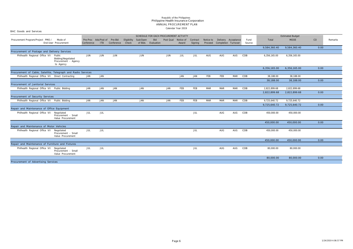BAC Goods and Services

|                                                               | SCHEDULE FOR EACH PROCUREMENT ACTIVITY<br>Pre-Proc Ads/Post of<br>Pre-Bid<br>Eligibility Sub/Open<br>Bid<br>Notice to Delivery Acceptance<br>Mode of<br>Post Qual Notice of<br>Contract<br>Proceed Completion Turnover |            |            |            |              |            |                    |            |       |         |            |            |            |                |              | <b>Estimated Budget</b> |      |         |
|---------------------------------------------------------------|------------------------------------------------------------------------------------------------------------------------------------------------------------------------------------------------------------------------|------------|------------|------------|--------------|------------|--------------------|------------|-------|---------|------------|------------|------------|----------------|--------------|-------------------------|------|---------|
| Procurement Program/Project PMO /                             | End-User Procurement                                                                                                                                                                                                   | Conference | ITB        | Conference | <b>Check</b> |            | of Bids Evaluation |            | Award | Signing |            |            |            | Fund<br>Source | Total        | <b>MOOE</b>             | CO   | Remarks |
|                                                               |                                                                                                                                                                                                                        |            |            |            |              |            |                    |            |       |         |            |            |            |                | 9,584,360.40 | 9,584,360.40            | 0.00 |         |
| Procurement of Postage and Delivery Services                  |                                                                                                                                                                                                                        |            |            |            |              |            |                    |            |       |         |            |            |            |                |              |                         |      |         |
| Philhealth Regional Office VII                                | Public<br>Bidding   Negotiated<br>Procurement - Agency<br>to Agency                                                                                                                                                    | JUN        | JUN        | JUN        |              | JUN        |                    | JUN        | JUL   | JUL     | AUG        | AUG        | AUG        | COB            | 6,356,165.00 | 6,356,165.00            |      |         |
|                                                               |                                                                                                                                                                                                                        |            |            |            |              |            |                    |            |       |         |            |            |            |                | 6,356,165.00 | 6,356,165.00            | 0.00 |         |
| Procurement of Cable, Satellite, Telegraph and Radio Services |                                                                                                                                                                                                                        |            |            |            |              |            |                    |            |       |         |            |            |            |                |              |                         |      |         |
| Philhealth Regional Office VII Direct Contracting             |                                                                                                                                                                                                                        | JAN        | JAN        |            |              |            |                    |            | JAN   | JAN     | FEB        | FEB        | MAR COB    |                | 38,188.00    | 38,188.00               |      |         |
|                                                               |                                                                                                                                                                                                                        |            |            |            |              |            |                    |            |       |         |            |            |            |                | 38,188.00    | 38,188.00               | 0.00 |         |
| Procurement of Janitorial Services                            |                                                                                                                                                                                                                        |            |            |            |              |            |                    |            |       |         |            |            |            |                |              |                         |      |         |
| Philhealth Regional Office VII Public Bidding                 |                                                                                                                                                                                                                        | <b>JAN</b> | JAN        | <b>JAN</b> |              | <b>JAN</b> |                    | <b>JAN</b> | FEB   | FEB     | MAR        | MAR        | <b>MAR</b> | COB            | 2,822,899.68 | 2,822,899.68            |      |         |
|                                                               |                                                                                                                                                                                                                        |            |            |            |              |            |                    |            |       |         |            |            |            |                | 2,822,899.68 | 2,822,899.68            | 0.00 |         |
| Procurement of Security Services                              |                                                                                                                                                                                                                        |            |            |            |              |            |                    |            |       |         |            |            |            |                |              |                         |      |         |
| Philhealth Regional Office VII Public Bidding                 |                                                                                                                                                                                                                        | <b>JAN</b> | <b>JAN</b> | <b>JAN</b> |              | <b>JAN</b> |                    | JAN        | FEB   | FEB     | <b>MAR</b> | <b>MAR</b> | <b>MAR</b> | COB            | 9,725,640.72 | 9,725,640.72            |      |         |
|                                                               |                                                                                                                                                                                                                        |            |            |            |              |            |                    |            |       |         |            |            |            |                | 9,725,640.72 | 9,725,640.72            | 0.00 |         |
| Repair and Maintenance of Office Equipment                    |                                                                                                                                                                                                                        |            |            |            |              |            |                    |            |       |         |            |            |            |                |              |                         |      |         |
| Philhealth Regional Office VII Negotiated                     | Procurement - Small<br>Value Procurement                                                                                                                                                                               | JUL        | JUL        |            |              |            |                    |            |       | JUL     |            | AUG        | AUG        | COB            | 450,000.00   | 450,000.00              |      |         |
|                                                               |                                                                                                                                                                                                                        |            |            |            |              |            |                    |            |       |         |            |            |            |                | 450,000.00   | 450,000.00              | 0.00 |         |
| Repair and Maintenance of Motor Vehicles                      |                                                                                                                                                                                                                        |            |            |            |              |            |                    |            |       |         |            |            |            |                |              |                         |      |         |
| Philhealth Regional Office VII Negotiated                     | Procurement - Small<br>Value Procurement                                                                                                                                                                               | JUL        | JUL        |            |              |            |                    |            |       | JUL     |            | AUG        | AUG        | COB            | 450,000.00   | 450,000.00              |      |         |
|                                                               |                                                                                                                                                                                                                        |            |            |            |              |            |                    |            |       |         |            |            |            |                | 450,000.00   | 450,000.00              | 0.00 |         |
| Repair and Maintenance of Furniture and Fixtures              |                                                                                                                                                                                                                        |            |            |            |              |            |                    |            |       |         |            |            |            |                |              |                         |      |         |
| Philhealth Regional Office VII Negotiated                     | Procurement - Small<br>Value Procurement                                                                                                                                                                               | JUL        | JUL        |            |              |            |                    |            |       | JUL     |            | AUG        | AUG        | COB            | 80,000.00    | 80,000.00               |      |         |
|                                                               |                                                                                                                                                                                                                        |            |            |            |              |            |                    |            |       |         |            |            |            |                | 80,000.00    | 80,000.00               | 0.00 |         |
| Procurement of Advertising Services                           |                                                                                                                                                                                                                        |            |            |            |              |            |                    |            |       |         |            |            |            |                |              |                         |      |         |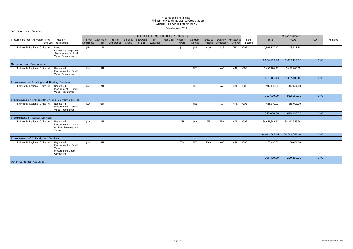| BAC Goods and Services                              |                                                                      |            |                                            |            |                      |                     |                   |                                        |       |                     |                      |                                            |            |                |               |                         |      |         |
|-----------------------------------------------------|----------------------------------------------------------------------|------------|--------------------------------------------|------------|----------------------|---------------------|-------------------|----------------------------------------|-------|---------------------|----------------------|--------------------------------------------|------------|----------------|---------------|-------------------------|------|---------|
|                                                     |                                                                      |            |                                            |            |                      |                     |                   | SCHEDULE FOR EACH PROCUREMENT ACTIVITY |       |                     |                      |                                            |            |                |               | <b>Estimated Budget</b> |      |         |
| Procurement Program/Project PMO /                   | Mode of<br>End-User Procurement                                      | Conference | Pre-Proc Ads/Post of Pre-Bid<br><b>ITB</b> | Conference | Eligibility<br>Check | Sub/Open<br>of Bids | Bid<br>Evaluation | Post Qual Notice of                    | Award | Contract<br>Signing | Notice to<br>Proceed | Delivery Acceptance<br>Completion Turnover |            | Fund<br>Source | Total         | <b>MOOE</b>             | CO   | Remarks |
| Philhealth Regional Office VII Direct               | Contracting   Negotiated<br>Procurement - Small<br>Value Procurement | JUN        | JUN                                        |            |                      |                     |                   |                                        | JUL   | JUL                 | AUG                  | AUG                                        | AUG        | COB            | 1,808,117.20  | 1,808,117.20            |      |         |
|                                                     |                                                                      |            |                                            |            |                      |                     |                   |                                        |       |                     |                      |                                            |            |                | 1,808,117.20  | 1,808,117.20            | 0.00 |         |
| Marketing and Promotional                           |                                                                      |            |                                            |            |                      |                     |                   |                                        |       |                     |                      |                                            |            |                |               |                         |      |         |
| Philhealth Regional Office VII Negotiated           | Procurement - Small<br>Value Procurement                             | JAN        | JAN                                        |            |                      |                     |                   |                                        |       | FEB                 |                      | MAR                                        | MAR        | COB            | 5,457,400.00  | 5,457,400.00            |      |         |
|                                                     |                                                                      |            |                                            |            |                      |                     |                   |                                        |       |                     |                      |                                            |            |                | 5,457,400.00  | 5,457,400.00            | 0.00 |         |
| Procurement of Printing and Binding Services        |                                                                      |            |                                            |            |                      |                     |                   |                                        |       |                     |                      |                                            |            |                |               |                         |      |         |
| Philhealth Regional Office VII Negotiated           | Procurement - Small<br>Value Procurement                             | JAN        | JAN                                        |            |                      |                     |                   |                                        |       | FEB                 |                      | MAR                                        | <b>MAR</b> | COB            | 912,600.00    | 912,600.00              |      |         |
|                                                     |                                                                      |            |                                            |            |                      |                     |                   |                                        |       |                     |                      |                                            |            |                | 912,600.00    | 912,600.00              | 0.00 |         |
| Procurement of Transportation and Delivery Services |                                                                      |            |                                            |            |                      |                     |                   |                                        |       |                     |                      |                                            |            |                |               |                         |      |         |
| Philhealth Regional Office VII Negotiated           | Procurement - Small<br>Value Procurement                             | JAN        | FEB                                        |            |                      |                     |                   |                                        |       | FEB                 |                      | <b>MAR</b>                                 | MAR        | COB            | 655,000.00    | 655,000.00              |      |         |
|                                                     |                                                                      |            |                                            |            |                      |                     |                   |                                        |       |                     |                      |                                            |            |                | 655,000.00    | 655,000.00              | 0.00 |         |
| Procurement of Rental Services                      |                                                                      |            |                                            |            |                      |                     |                   |                                        |       |                     |                      |                                            |            |                |               |                         |      |         |
| Philhealth Regional Office VII Negotiated           | Procurement - Lease<br>of Real Property and<br>Venue                 | JAN        | JAN                                        |            |                      |                     |                   |                                        | JAN   | JAN                 | FEB                  | FEB                                        | MAR        | COB            | 34,641,369.94 | 34,641,369.94           |      |         |
|                                                     |                                                                      |            |                                            |            |                      |                     |                   |                                        |       |                     |                      |                                            |            |                | 34,641,369.94 | 34,641,369.94           | 0.00 |         |
| Procurement of Subscription Services                |                                                                      |            |                                            |            |                      |                     |                   |                                        |       |                     |                      |                                            |            |                |               |                         |      |         |
| Philhealth Regional Office VII Negotiated           | Procurement - Small<br>Value<br>Procurement   Direct<br>Contracting  | JAN        | JAN                                        |            |                      |                     |                   |                                        | FEB   | FEB                 | <b>MAR</b>           | <b>MAR</b>                                 | MAR        | COB            | 200,400.00    | 200,400.00              |      |         |
|                                                     |                                                                      |            |                                            |            |                      |                     |                   |                                        |       |                     |                      |                                            |            |                | 200,400.00    | 200,400.00              | 0.00 |         |
| Other Corporate Activities                          |                                                                      |            |                                            |            |                      |                     |                   |                                        |       |                     |                      |                                            |            |                |               |                         |      |         |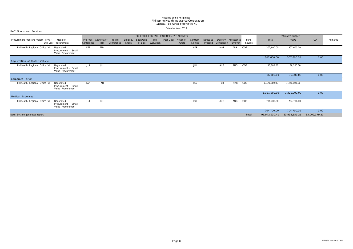BAC Goods and Services

|                                   |                                                        |            |                                    |                       |                      |                     | SCHEDULE FOR EACH PROCUREMENT ACTIVITY |           |                    |                     |                      |                     |                     |                |               | <b>Estimated Budget</b> |               |         |
|-----------------------------------|--------------------------------------------------------|------------|------------------------------------|-----------------------|----------------------|---------------------|----------------------------------------|-----------|--------------------|---------------------|----------------------|---------------------|---------------------|----------------|---------------|-------------------------|---------------|---------|
| Procurement Program/Project PMO / | Mode of<br>End-User Procurement                        | Conference | Pre-Proc Ads/Post of<br><b>ITB</b> | Pre-Bid<br>Conference | Eligibility<br>Check | Sub/Open<br>of Bids | <b>Bid</b><br>Evaluation               | Post Qual | Notice of<br>Award | Contract<br>Signing | Notice to<br>Proceed | Completion Turnover | Delivery Acceptance | Fund<br>Source | Total         | <b>MOOE</b>             | CO            | Remarks |
| Philhealth Regional Office VII    | Negotiated<br>Procurement - Small<br>Value Procurement | FEB        | FEB                                |                       |                      |                     |                                        |           |                    | MAR                 |                      | MAR                 | APR                 | COB            | 307,600.00    | 307,600.00              |               |         |
|                                   |                                                        |            |                                    |                       |                      |                     |                                        |           |                    |                     |                      |                     |                     |                | 307,600.00    | 307,600.00              | 0.00          |         |
| Registration of Motor Vehicle     |                                                        |            |                                    |                       |                      |                     |                                        |           |                    |                     |                      |                     |                     |                |               |                         |               |         |
| Philhealth Regional Office VII    | Negotiated<br>Procurement - Small<br>Value Procurement | JUL        | JUL                                |                       |                      |                     |                                        |           |                    | JUL                 |                      | AUG                 | AUG                 | COB            | 36,300.00     | 36,300.00               |               |         |
|                                   |                                                        |            |                                    |                       |                      |                     |                                        |           |                    |                     |                      |                     |                     |                | 36,300.00     | 36,300.00               | 0.00          |         |
| Corporate Forum                   |                                                        |            |                                    |                       |                      |                     |                                        |           |                    |                     |                      |                     |                     |                |               |                         |               |         |
| Philhealth Regional Office VII    | Negotiated<br>Procurement - Small<br>Value Procurement | JAN        | JAN                                |                       |                      |                     |                                        |           |                    | JAN                 |                      | FEB                 | MAR                 | COB            | 1,321,000.00  | 1,321,000.00            |               |         |
|                                   |                                                        |            |                                    |                       |                      |                     |                                        |           |                    |                     |                      |                     |                     |                | 1,321,000.00  | 1,321,000.00            | 0.00          |         |
| Medical Expenses                  |                                                        |            |                                    |                       |                      |                     |                                        |           |                    |                     |                      |                     |                     |                |               |                         |               |         |
| Philhealth Regional Office VII    | Negotiated<br>Procurement - Small<br>Value Procurement | JUL        | JUL                                |                       |                      |                     |                                        |           |                    | JUL                 |                      | AUG                 | AUG                 | COB            | 704,700.00    | 704,700.00              |               |         |
|                                   |                                                        |            |                                    |                       |                      |                     |                                        |           |                    |                     |                      |                     |                     |                | 704,700.00    | 704,700.00              | 0.00          |         |
| Note: System generated report.    |                                                        |            |                                    |                       |                      |                     |                                        |           |                    |                     |                      |                     |                     | Total          | 96,942,930.41 | 83,933,551.21           | 13,009,379.20 |         |